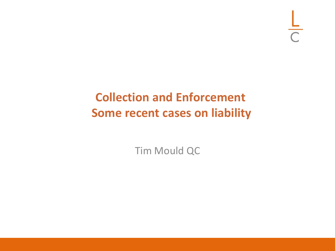$\frac{L}{C}$ 

## **Collection and Enforcement Some recent cases on liability**

Tim Mould QC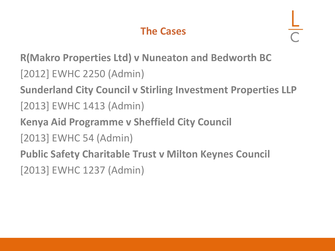#### **The Cases**

**R(Makro Properties Ltd) v Nuneaton and Bedworth BC** [2012] EWHC 2250 (Admin)

**Sunderland City Council v Stirling Investment Properties LLP**

- [2013] EWHC 1413 (Admin)
- **Kenya Aid Programme v Sheffield City Council**
- [2013] EWHC 54 (Admin)
- **Public Safety Charitable Trust v Milton Keynes Council** [2013] EWHC 1237 (Admin)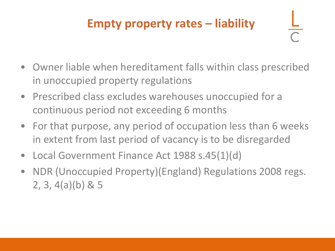## **Empty property rates – liability**

- Owner liable when hereditament falls within class prescribed in unoccupied property regulations
- Prescribed class excludes warehouses unoccupied for a continuous period not exceeding 6 months
- For that purpose, any period of occupation less than 6 weeks in extent from last period of vacancy is to be disregarded
- Local Government Finance Act 1988 s.45(1)(d)
- NDR (Unoccupied Property)(England) Regulations 2008 regs. 2, 3, 4(a)(b) & 5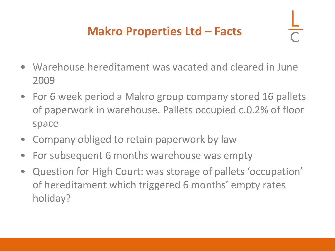## **Makro Properties Ltd – Facts**

- Warehouse hereditament was vacated and cleared in June 2009
- For 6 week period a Makro group company stored 16 pallets of paperwork in warehouse. Pallets occupied c.0.2% of floor space
- Company obliged to retain paperwork by law
- For subsequent 6 months warehouse was empty
- Question for High Court: was storage of pallets 'occupation' of hereditament which triggered 6 months' empty rates holiday?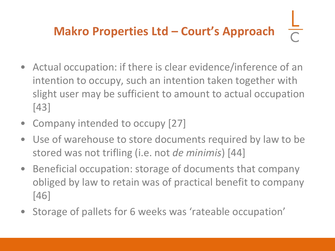# **Makro Properties Ltd – Court's Approach**

- Actual occupation: if there is clear evidence/inference of an intention to occupy, such an intention taken together with slight user may be sufficient to amount to actual occupation [43]
- Company intended to occupy [27]
- Use of warehouse to store documents required by law to be stored was not trifling (i.e. not *de minimis*) [44]
- Beneficial occupation: storage of documents that company obliged by law to retain was of practical benefit to company [46]
- Storage of pallets for 6 weeks was 'rateable occupation'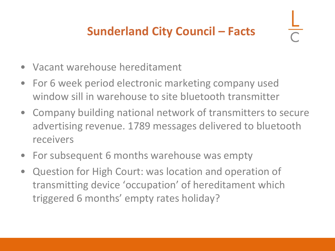## **Sunderland City Council – Facts**

- Vacant warehouse hereditament
- For 6 week period electronic marketing company used window sill in warehouse to site bluetooth transmitter
- Company building national network of transmitters to secure advertising revenue. 1789 messages delivered to bluetooth receivers
- For subsequent 6 months warehouse was empty
- Question for High Court: was location and operation of transmitting device 'occupation' of hereditament which triggered 6 months' empty rates holiday?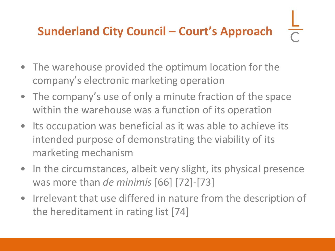## **Sunderland City Council – Court's Approach**

- The warehouse provided the optimum location for the company's electronic marketing operation
- The company's use of only a minute fraction of the space within the warehouse was a function of its operation
- Its occupation was beneficial as it was able to achieve its intended purpose of demonstrating the viability of its marketing mechanism
- In the circumstances, albeit very slight, its physical presence was more than *de minimis* [66] [72]-[73]
- Irrelevant that use differed in nature from the description of the hereditament in rating list [74]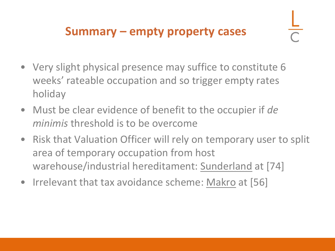#### **Summary – empty property cases**

- Very slight physical presence may suffice to constitute 6 weeks' rateable occupation and so trigger empty rates holiday
- Must be clear evidence of benefit to the occupier if *de minimis* threshold is to be overcome
- Risk that Valuation Officer will rely on temporary user to split area of temporary occupation from host warehouse/industrial hereditament: Sunderland at [74]
- Irrelevant that tax avoidance scheme: Makro at [56]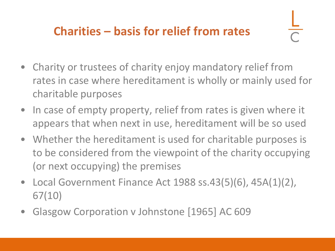- Charity or trustees of charity enjoy mandatory relief from rates in case where hereditament is wholly or mainly used for charitable purposes
- In case of empty property, relief from rates is given where it appears that when next in use, hereditament will be so used
- Whether the hereditament is used for charitable purposes is to be considered from the viewpoint of the charity occupying (or next occupying) the premises
- Local Government Finance Act 1988 ss.43(5)(6), 45A(1)(2), 67(10)
- Glasgow Corporation v Johnstone [1965] AC 609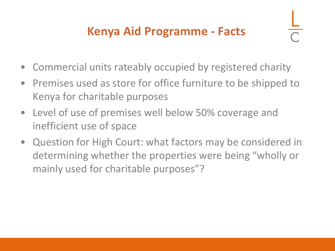## **Kenya Aid Programme - Facts**

- Commercial units rateably occupied by registered charity
- Premises used as store for office furniture to be shipped to Kenya for charitable purposes
- Level of use of premises well below 50% coverage and inefficient use of space
- Question for High Court: what factors may be considered in determining whether the properties were being "wholly or mainly used for charitable purposes"?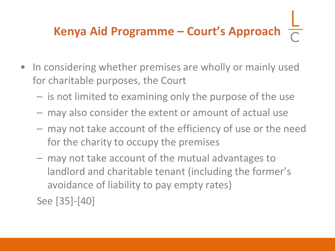## **Kenya Aid Programme – Court's Approach**

- In considering whether premises are wholly or mainly used for charitable purposes, the Court
	- is not limited to examining only the purpose of the use
	- may also consider the extent or amount of actual use
	- may not take account of the efficiency of use or the need for the charity to occupy the premises
	- may not take account of the mutual advantages to landlord and charitable tenant (including the former's avoidance of liability to pay empty rates)
	- See [35]-[40]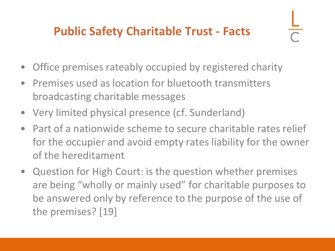### **Public Safety Charitable Trust - Facts**

- Office premises rateably occupied by registered charity
- Premises used as location for bluetooth transmitters broadcasting charitable messages
- Very limited physical presence (cf. Sunderland)
- Part of a nationwide scheme to secure charitable rates relief for the occupier and avoid empty rates liability for the owner of the hereditament
- Question for High Court: is the question whether premises are being "wholly or mainly used" for charitable purposes to be answered only by reference to the purpose of the use of the premises? [19]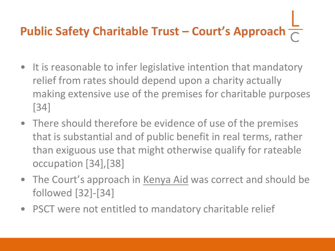## **Public Safety Charitable Trust – Court's Approach**  $\frac{1}{6}$

- It is reasonable to infer legislative intention that mandatory relief from rates should depend upon a charity actually making extensive use of the premises for charitable purposes [34]
- There should therefore be evidence of use of the premises that is substantial and of public benefit in real terms, rather than exiguous use that might otherwise qualify for rateable occupation [34],[38]
- The Court's approach in Kenya Aid was correct and should be followed [32]-[34]
- PSCT were not entitled to mandatory charitable relief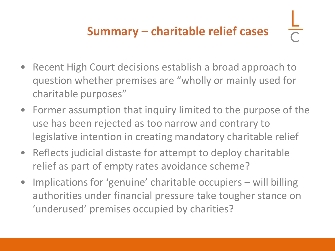- Recent High Court decisions establish a broad approach to question whether premises are "wholly or mainly used for charitable purposes"
- Former assumption that inquiry limited to the purpose of the use has been rejected as too narrow and contrary to legislative intention in creating mandatory charitable relief
- Reflects judicial distaste for attempt to deploy charitable relief as part of empty rates avoidance scheme?
- Implications for 'genuine' charitable occupiers will billing authorities under financial pressure take tougher stance on 'underused' premises occupied by charities?